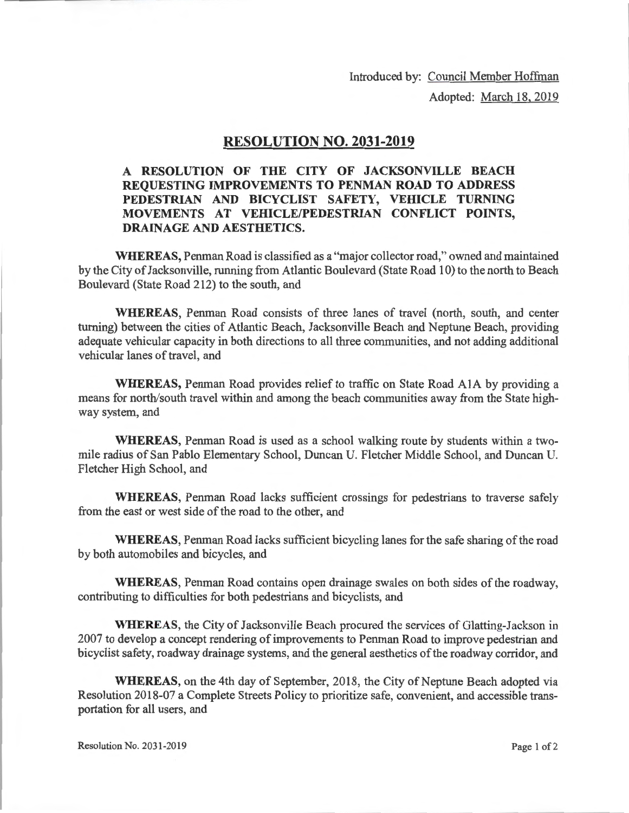Introduced by: Council Member Hoffman

Adopted: March 18, 2019

## **RESOLUTION NO. 2031-2019**

## **A RESOLUTION OF THE CITY OF JACKSONVILLE BEACH REQUESTING IMPROVEMENTS TO PENMAN ROAD TO ADDRESS PEDESTRIAN AND BICYCLIST SAFETY, VEHICLE TURNING MOVEMENTS AT VEHICLE/PEDESTRIAN CONFLICT POINTS, DRAINAGE AND AESTHETICS.**

**WHEREAS,** Penman Road is classified as a "major collector road," owned and maintained by the City of Jacksonville, running from Atlantic Boulevard (State Road 10) to the north to Beach Boulevard (State Road 212) to the south, and

**WHEREAS,** Penman Road consists of three lanes of travel (north, south, and center turning) between the cities of Atlantic Beach, Jacksonville Beach and Neptune Beach, providing adequate vehicular capacity in both directions to all three communities, and not adding additional vehicular lanes of travel, and

**WHEREAS, Penman Road provides relief to traffic on State Road A1A by providing a** means for north/south travel within and among the beach communities away from the State highway system, and

**WHEREAS,** Penman Road is used as a school walking route by students within a twomile radius of San Pablo Elementary School, Duncan U. Fletcher Middle School, and Duncan U. Fletcher High School, and

**WHEREAS,** Penman Road lacks sufficient crossings for pedestrians to traverse safely from the east or west side of the road to the other, and

**WHEREAS,** Penman Road lacks sufficient bicycling lanes for the safe sharing of the road by both automobiles and bicycles, and

**WHEREAS,** Penman Road contains open drainage swales on both sides of the roadway, contributing to difficulties for both pedestrians and bicyclists, and

**WHEREAS,** the City of Jacksonville Beach procured the services of Glatting-Jackson in 2007 to develop a concept rendering of improvements to Penman Road to improve pedestrian and bicyclist safety, roadway drainage systems, and the general aesthetics of the roadway corridor, and

**WHEREAS,** on the 4th day of September, 2018, the City of Neptune Beach adopted via Resolution 2018-07 a Complete Streets Policy to prioritize safe, convenient, and accessible transportation for all users, and